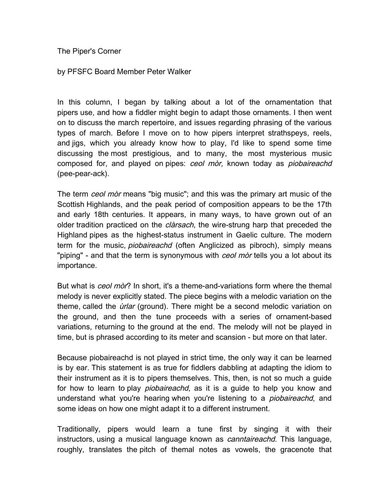The Piper's Corner

by PFSFC Board Member Peter Walker

In this column, I began by talking about a lot of the ornamentation that pipers use, and how a fiddler might begin to adapt those ornaments. I then went on to discuss the march repertoire, and issues regarding phrasing of the various types of march. Before I move on to how pipers interpret strathspeys, reels, and jigs, which you already know how to play, I'd like to spend some time discussing the most prestigious, and to many, the most mysterious music composed for, and played on pipes: ceol mòr, known today as piobaireachd (pee-pear-ack).

The term *ceol mòr* means "big music"; and this was the primary art music of the Scottish Highlands, and the peak period of composition appears to be the 17th and early 18th centuries. It appears, in many ways, to have grown out of an older tradition practiced on the *clàrsach*, the wire-strung harp that preceded the Highland pipes as the highest-status instrument in Gaelic culture. The modern term for the music, *piobaireachd* (often Anglicized as pibroch), simply means "piping" - and that the term is synonymous with *ceol mòr* tells you a lot about its importance.

But what is *ceol mòr*? In short, it's a theme-and-variations form where the themal melody is never explicitly stated. The piece begins with a melodic variation on the theme, called the *urlar* (ground). There might be a second melodic variation on the ground, and then the tune proceeds with a series of ornament-based variations, returning to the ground at the end. The melody will not be played in time, but is phrased according to its meter and scansion - but more on that later.

Because piobaireachd is not played in strict time, the only way it can be learned is by ear. This statement is as true for fiddlers dabbling at adapting the idiom to their instrument as it is to pipers themselves. This, then, is not so much a guide for how to learn to play *piobaireachd*, as it is a quide to help you know and understand what you're hearing when you're listening to a *piobaireachd*, and some ideas on how one might adapt it to a different instrument.

Traditionally, pipers would learn a tune first by singing it with their instructors, using a musical language known as *canntaireachd*. This language, roughly, translates the pitch of themal notes as vowels, the gracenote that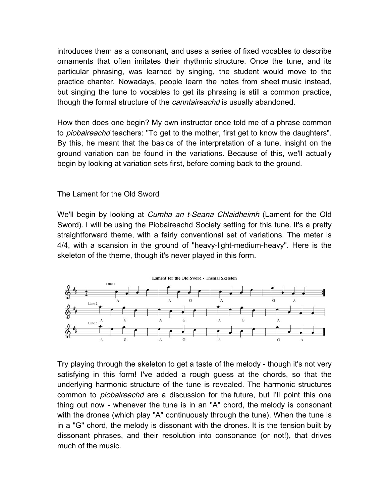introduces them as a consonant, and uses a series of fixed vocables to describe ornaments that often imitates their rhythmic structure. Once the tune, and its particular phrasing, was learned by singing, the student would move to the practice chanter. Nowadays, people learn the notes from sheet music instead, but singing the tune to vocables to get its phrasing is still a common practice, though the formal structure of the *canntaireachd* is usually abandoned.

How then does one begin? My own instructor once told me of a phrase common to *piobaireachd* teachers: "To get to the mother, first get to know the daughters". By this, he meant that the basics of the interpretation of a tune, insight on the ground variation can be found in the variations. Because of this, we'll actually begin by looking at variation sets first, before coming back to the ground.

## The Lament for the Old Sword

We'll begin by looking at *Cumha an t-Seana Chlaidheimh* (Lament for the Old Sword). I will be using the Piobaireachd Society setting for this tune. It's a pretty straightforward theme, with a fairly conventional set of variations. The meter is 4/4, with a scansion in the ground of "heavy-light-medium-heavy". Here is the skeleton of the theme, though it's never played in this form.



Try playing through the skeleton to get a taste of the melody - though it's not very satisfying in this form! I've added a rough guess at the chords, so that the underlying harmonic structure of the tune is revealed. The harmonic structures common to *piobaireachd* are a discussion for the future, but I'll point this one thing out now - whenever the tune is in an "A" chord, the melody is consonant with the drones (which play "A" continuously through the tune). When the tune is in a "G" chord, the melody is dissonant with the drones. It is the tension built by dissonant phrases, and their resolution into consonance (or not!), that drives much of the music.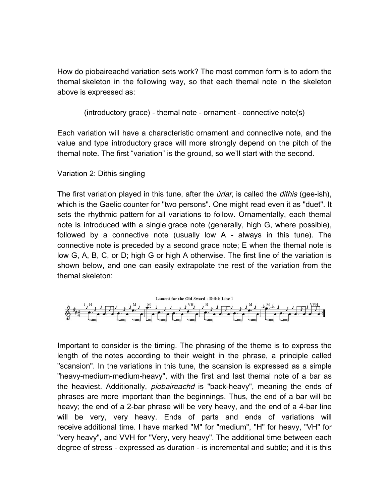How do piobaireachd variation sets work? The most common form is to adorn the themal skeleton in the following way, so that each themal note in the skeleton above is expressed as:

```
(introductory grace) - themal note - ornament - connective note(s)
```
Each variation will have a characteristic ornament and connective note, and the value and type introductory grace will more strongly depend on the pitch of the themal note. The first "variation" is the ground, so we'll start with the second.

# Variation 2: Dithis singling

The first variation played in this tune, after the *urlar*, is called the *dithis* (gee-ish), which is the Gaelic counter for "two persons". One might read even it as "duet". It sets the rhythmic pattern for all variations to follow. Ornamentally, each themal note is introduced with a single grace note (generally, high G, where possible), followed by a connective note (usually low A - always in this tune). The connective note is preceded by a second grace note; E when the themal note is low G, A, B, C, or D; high G or high A otherwise. The first line of the variation is shown below, and one can easily extrapolate the rest of the variation from the themal skeleton:



Important to consider is the timing. The phrasing of the theme is to express the length of the notes according to their weight in the phrase, a principle called "scansion". In the variations in this tune, the scansion is expressed as a simple "heavy-medium-medium-heavy", with the first and last themal note of a bar as the heaviest. Additionally, *piobaireachd* is "back-heavy", meaning the ends of phrases are more important than the beginnings. Thus, the end of a bar will be heavy; the end of a 2-bar phrase will be very heavy, and the end of a 4-bar line will be very, very heavy. Ends of parts and ends of variations will receive additional time. I have marked "M" for "medium", "H" for heavy, "VH" for "very heavy", and VVH for "Very, very heavy". The additional time between each degree of stress - expressed as duration - is incremental and subtle; and it is this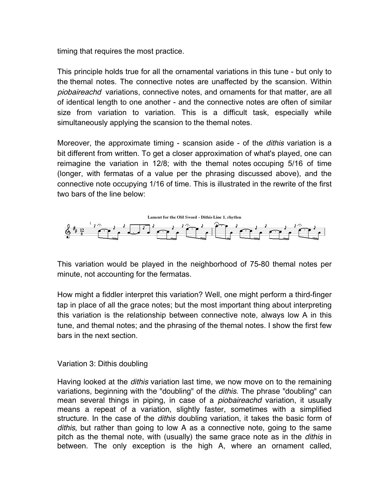timing that requires the most practice.

This principle holds true for all the ornamental variations in this tune - but only to the themal notes. The connective notes are unaffected by the scansion. Within piobaireachd variations, connective notes, and ornaments for that matter, are all of identical length to one another - and the connective notes are often of similar size from variation to variation. This is a difficult task, especially while simultaneously applying the scansion to the themal notes.

Moreover, the approximate timing - scansion aside - of the *dithis* variation is a bit different from written. To get a closer approximation of what's played, one can reimagine the variation in 12/8; with the themal notes occuping 5/16 of time (longer, with fermatas of a value per the phrasing discussed above), and the connective note occupying 1/16 of time. This is illustrated in the rewrite of the first two bars of the line below:



This variation would be played in the neighborhood of 75-80 themal notes per minute, not accounting for the fermatas.

How might a fiddler interpret this variation? Well, one might perform a third-finger tap in place of all the grace notes; but the most important thing about interpreting this variation is the relationship between connective note, always low A in this tune, and themal notes; and the phrasing of the themal notes. I show the first few bars in the next section.

# Variation 3: Dithis doubling

Having looked at the *dithis* variation last time, we now move on to the remaining variations, beginning with the "doubling" of the *dithis*. The phrase "doubling" can mean several things in piping, in case of a *piobaireachd* variation, it usually means a repeat of a variation, slightly faster, sometimes with a simplified structure. In the case of the *dithis* doubling variation, it takes the basic form of *dithis*, but rather than going to low A as a connective note, going to the same pitch as the themal note, with (usually) the same grace note as in the *dithis* in between. The only exception is the high A, where an ornament called,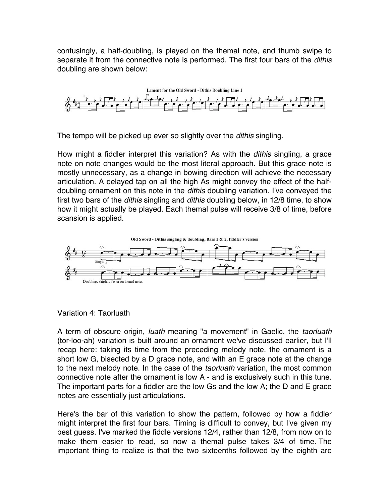confusingly, a half-doubling, is played on the themal note, and thumb swipe to separate it from the connective note is performed. The first four bars of the *dithis* doubling are shown below:



The tempo will be picked up ever so slightly over the *dithis* singling.

How might a fiddler interpret this variation? As with the *dithis* singling, a grace note on note changes would be the most literal approach. But this grace note is mostly unnecessary, as a change in bowing direction will achieve the necessary articulation. A delayed tap on all the high As might convey the effect of the halfdoubling ornament on this note in the *dithis* doubling variation. I've conveyed the first two bars of the *dithis* singling and *dithis* doubling below, in 12/8 time, to show how it might actually be played. Each themal pulse will receive 3/8 of time, before scansion is applied.



Variation 4: Taorluath

A term of obscure origin, *luath* meaning "a movement" in Gaelic, the *taorluath* (tor-loo-ah) variation is built around an ornament we've discussed earlier, but I'll recap here: taking its time from the preceding melody note, the ornament is a short low G, bisected by a D grace note, and with an E grace note at the change to the next melody note. In the case of the *taorluath* variation, the most common connective note after the ornament is low A - and is exclusively such in this tune. The important parts for a fiddler are the low Gs and the low A; the D and E grace notes are essentially just articulations.

Here's the bar of this variation to show the pattern, followed by how a fiddler might interpret the first four bars. Timing is difficult to convey, but I've given my best guess. I've marked the fiddle versions 12/4, rather than 12/8, from now on to make them easier to read, so now a themal pulse takes 3/4 of time. The important thing to realize is that the two sixteenths followed by the eighth are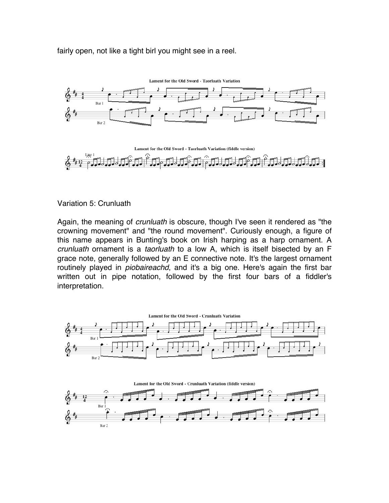fairly open, not like a tight birl you might see in a reel.





#### Variation 5: Crunluath

Again, the meaning of *crunluath* is obscure, though I've seen it rendered as "the crowning movement" and "the round movement". Curiously enough, a figure of this name appears in Bunting's book on Irish harping as a harp ornament. A *crunluath* ornament is a *taorluath* to a low A, which is itself bisected by an F grace note, generally followed by an E connective note. It's the largest ornament routinely played in *piobaireachd*, and it's a big one. Here's again the first bar written out in pipe notation, followed by the first four bars of a fiddler's interpretation.

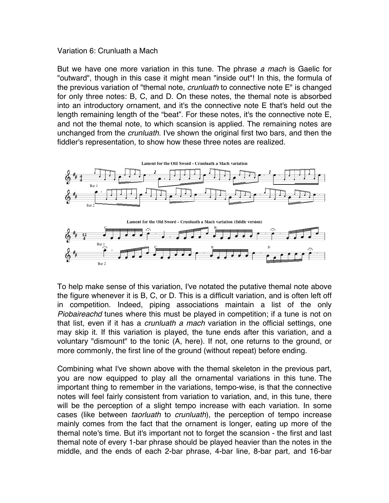### Variation 6: Crunluath a Mach

But we have one more variation in this tune. The phrase *a mach* is Gaelic for "outward", though in this case it might mean "inside out"! In this, the formula of the previous variation of "themal note, *crunluath* to connective note E" is changed for only three notes: B, C, and D. On these notes, the themal note is absorbed into an introductory ornament, and it's the connective note E that's held out the length remaining length of the "beat". For these notes, it's the connective note E, and not the themal note, to which scansion is applied. The remaining notes are unchanged from the *crunluath*. I've shown the original first two bars, and then the fiddler's representation, to show how these three notes are realized.



To help make sense of this variation, I've notated the putative themal note above the figure whenever it is B, C, or D. This is a difficult variation, and is often left off in competition. Indeed, piping associations maintain a list of the only *Piobaireachd* tunes where this must be played in competition; if a tune is not on that list, even if it has a *crunluath a mach* variation in the official settings, one may skip it. If this variation is played, the tune ends after this variation, and a voluntary "dismount" to the tonic (A, here). If not, one returns to the ground, or more commonly, the first line of the ground (without repeat) before ending.

Combining what I've shown above with the themal skeleton in the previous part, you are now equipped to play all the ornamental variations in this tune. The important thing to remember in the variations, tempo-wise, is that the connective notes will feel fairly consistent from variation to variation, and, in this tune, there will be the perception of a slight tempo increase with each variation. In some cases (like between *taorluath* to *crunluath*), the perception of tempo increase mainly comes from the fact that the ornament is longer, eating up more of the themal note's time. But it's important not to forget the scansion - the first and last themal note of every 1-bar phrase should be played heavier than the notes in the middle, and the ends of each 2-bar phrase, 4-bar line, 8-bar part, and 16-bar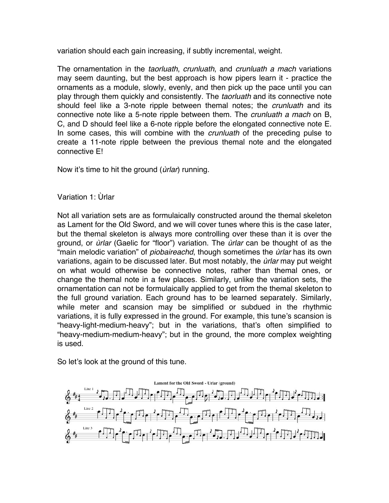variation should each gain increasing, if subtly incremental, weight.

The ornamentation in the *taorluath*, *crunluath*, and *crunluath a mach* variations may seem daunting, but the best approach is how pipers learn it - practice the ornaments as a module, slowly, evenly, and then pick up the pace until you can play through them quickly and consistently. The *taorluath* and its connective note should feel like a 3-note ripple between themal notes; the *crunluath* and its connective note like a 5-note ripple between them. The *crunluath a mach* on B, C, and D should feel like a 6-note ripple before the elongated connective note E. In some cases, this will combine with the *crunluath* of the preceding pulse to create a 11-note ripple between the previous themal note and the elongated connective E!

Now it's time to hit the ground (*ùrlar*) running.

Variation 1: Ùrlar

Not all variation sets are as formulaically constructed around the themal skeleton as Lament for the Old Sword, and we will cover tunes where this is the case later, but the themal skeleton is always more controlling over these than it is over the ground, or *ùrlar* (Gaelic for "floor") variation. The *ùrlar* can be thought of as the "main melodic variation" of *piobaireachd*, though sometimes the *ùrlar* has its own variations, again to be discussed later. But most notably, the *ùrlar* may put weight on what would otherwise be connective notes, rather than themal ones, or change the themal note in a few places. Similarly, unlike the variation sets, the ornamentation can not be formulaically applied to get from the themal skeleton to the full ground variation. Each ground has to be learned separately. Similarly, while meter and scansion may be simplified or subdued in the rhythmic variations, it is fully expressed in the ground. For example, this tune's scansion is "heavy-light-medium-heavy"; but in the variations, that's often simplified to "heavy-medium-medium-heavy"; but in the ground, the more complex weighting is used.

So let's look at the ground of this tune.

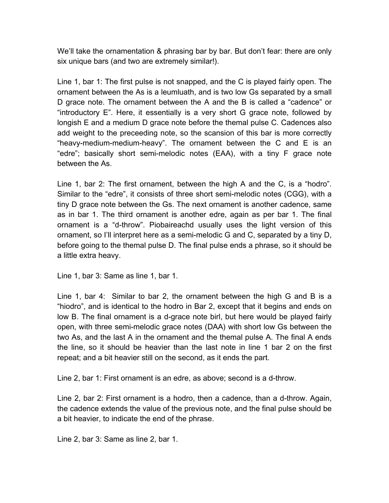We'll take the ornamentation & phrasing bar by bar. But don't fear: there are only six unique bars (and two are extremely similar!).

Line 1, bar 1: The first pulse is not snapped, and the C is played fairly open. The ornament between the As is a leumluath, and is two low Gs separated by a small D grace note. The ornament between the A and the B is called a "cadence" or "introductory E". Here, it essentially is a very short G grace note, followed by longish E and a medium D grace note before the themal pulse C. Cadences also add weight to the preceeding note, so the scansion of this bar is more correctly "heavy-medium-medium-heavy". The ornament between the C and E is an "edre"; basically short semi-melodic notes (EAA), with a tiny F grace note between the As.

Line 1, bar 2: The first ornament, between the high A and the C, is a "hodro". Similar to the "edre", it consists of three short semi-melodic notes (CGG), with a tiny D grace note between the Gs. The next ornament is another cadence, same as in bar 1. The third ornament is another edre, again as per bar 1. The final ornament is a "d-throw". Piobaireachd usually uses the light version of this ornament, so I'll interpret here as a semi-melodic G and C, separated by a tiny D, before going to the themal pulse D. The final pulse ends a phrase, so it should be a little extra heavy.

Line 1, bar 3: Same as line 1, bar 1.

Line 1, bar 4: Similar to bar 2, the ornament between the high G and B is a "hiodro", and is identical to the hodro in Bar 2, except that it begins and ends on low B. The final ornament is a d-grace note birl, but here would be played fairly open, with three semi-melodic grace notes (DAA) with short low Gs between the two As, and the last A in the ornament and the themal pulse A. The final A ends the line, so it should be heavier than the last note in line 1 bar 2 on the first repeat; and a bit heavier still on the second, as it ends the part.

Line 2, bar 1: First ornament is an edre, as above; second is a d-throw.

Line 2, bar 2: First ornament is a hodro, then a cadence, than a d-throw. Again, the cadence extends the value of the previous note, and the final pulse should be a bit heavier, to indicate the end of the phrase.

Line 2, bar 3: Same as line 2, bar 1.